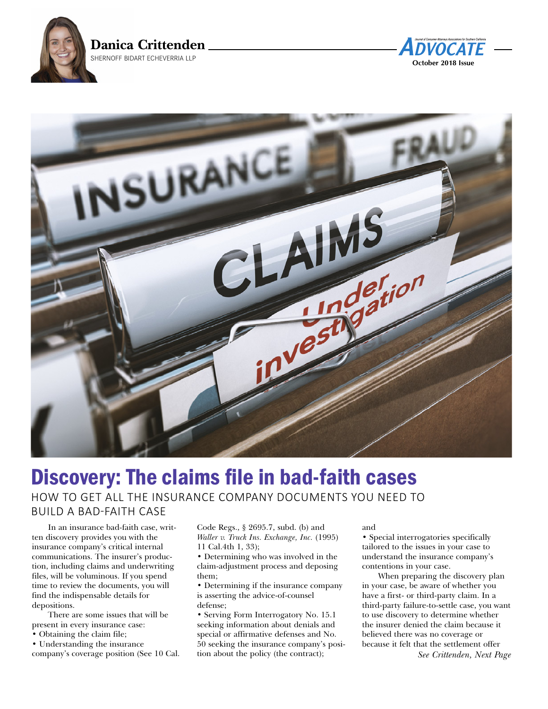





# Discovery: The claims file in bad-faith cases HOW TO GET ALL THE INSURANCE COMPANY DOCUMENTS YOU NEED TO BUILD A BAD-FAITH CASE

In an insurance bad-faith case, written discovery provides you with the insurance company's critical internal communications. The insurer's production, including claims and underwriting files, will be voluminous. If you spend time to review the documents, you will find the indispensable details for depositions.

There are some issues that will be present in every insurance case:

• Obtaining the claim file;

• Understanding the insurance company's coverage position (See 10 Cal. Code Regs., § 2695.7, subd. (b) and *Waller v. Truck Ins. Exchange, Inc.* (1995) 11 Cal.4th 1, 33);

• Determining who was involved in the claim-adjustment process and deposing them;

• Determining if the insurance company is asserting the advice-of-counsel defense;

• Serving Form Interrogatory No. 15.1 seeking information about denials and special or affirmative defenses and No. 50 seeking the insurance company's position about the policy (the contract);

#### and

• Special interrogatories specifically tailored to the issues in your case to understand the insurance company's contentions in your case.

When preparing the discovery plan in your case, be aware of whether you have a first- or third-party claim. In a third-party failure-to-settle case, you want to use discovery to determine whether the insurer denied the claim because it believed there was no coverage or because it felt that the settlement offer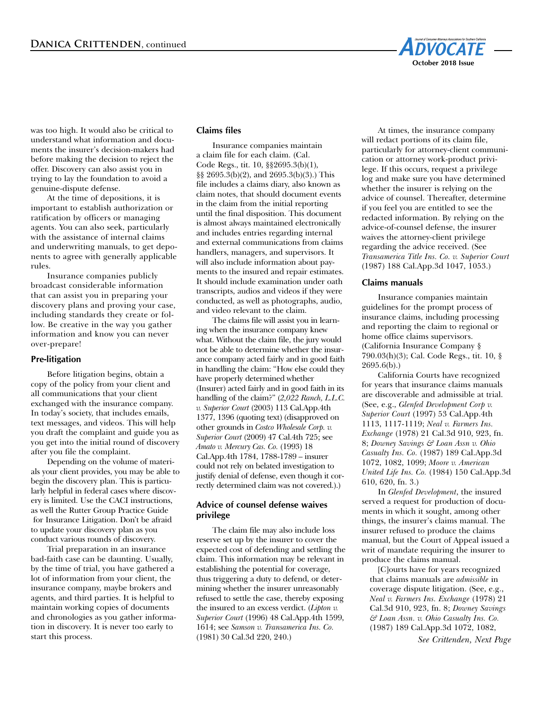

was too high. It would also be critical to understand what information and documents the insurer's decision-makers had before making the decision to reject the offer. Discovery can also assist you in trying to lay the foundation to avoid a genuine-dispute defense.

At the time of depositions, it is important to establish authorization or ratification by officers or managing agents. You can also seek, particularly with the assistance of internal claims and underwriting manuals, to get deponents to agree with generally applicable rules.

Insurance companies publicly broadcast considerable information that can assist you in preparing your discovery plans and proving your case, including standards they create or follow. Be creative in the way you gather information and know you can never over-prepare!

#### **Pre-litigation**

Before litigation begins, obtain a copy of the policy from your client and all communications that your client exchanged with the insurance company. In today's society, that includes emails, text messages, and videos. This will help you draft the complaint and guide you as you get into the initial round of discovery after you file the complaint.

Depending on the volume of materials your client provides, you may be able to begin the discovery plan. This is particularly helpful in federal cases where discovery is limited. Use the CACI instructions, as well the Rutter Group Practice Guide for Insurance Litigation. Don't be afraid to update your discovery plan as you conduct various rounds of discovery.

Trial preparation in an insurance bad-faith case can be daunting. Usually, by the time of trial, you have gathered a lot of information from your client, the insurance company, maybe brokers and agents, and third parties. It is helpful to maintain working copies of documents and chronologies as you gather information in discovery. It is never too early to start this process.

## **Claims files**

Insurance companies maintain a claim file for each claim. (Cal. Code Regs., tit. 10, §§2695.3(b)(1), §§ 2695.3(b)(2), and 2695.3(b)(3).) This file includes a claims diary, also known as claim notes, that should document events in the claim from the initial reporting until the final disposition. This document is almost always maintained electronically and includes entries regarding internal and external communications from claims handlers, managers, and supervisors. It will also include information about payments to the insured and repair estimates. It should include examination under oath transcripts, audios and videos if they were conducted, as well as photographs, audio, and video relevant to the claim.

The claims file will assist you in learning when the insurance company knew what. Without the claim file, the jury would not be able to determine whether the insurance company acted fairly and in good faith in handling the claim: "How else could they have properly determined whether (Insurer) acted fairly and in good faith in its handling of the claim?" (*2,022 Ranch, L.L.C. v. Superior Court* (2003) 113 Cal.App.4th 1377, 1396 (quoting text) (disapproved on other grounds in *Costco Wholesale Corp. v. Superior Court* (2009) 47 Cal.4th 725; see *Amato v. Mercury Cas. Co.* (1993) 18 Cal.App.4th 1784, 1788-1789 – insurer could not rely on belated investigation to justify denial of defense, even though it correctly determined claim was not covered.).)

## **Advice of counsel defense waives privilege**

The claim file may also include loss reserve set up by the insurer to cover the expected cost of defending and settling the claim. This information may be relevant in establishing the potential for coverage, thus triggering a duty to defend, or determining whether the insurer unreasonably refused to settle the case, thereby exposing the insured to an excess verdict. (*Lipton v. Superior Court* (1996) 48 Cal.App.4th 1599, 1614; see *Samson v. Transamerica Ins. Co.* (1981) 30 Cal.3d 220, 240.)

At times, the insurance company will redact portions of its claim file, particularly for attorney-client communication or attorney work-product privilege. If this occurs, request a privilege log and make sure you have determined whether the insurer is relying on the advice of counsel. Thereafter, determine if you feel you are entitled to see the redacted information. By relying on the advice-of-counsel defense, the insurer waives the attorney-client privilege regarding the advice received. (See *Transamerica Title Ins. Co. v. Superior Court* (1987) 188 Cal.App.3d 1047, 1053.)

#### **Claims manuals**

Insurance companies maintain guidelines for the prompt process of insurance claims, including processing and reporting the claim to regional or home office claims supervisors. (California Insurance Company § 790.03(h)(3); Cal. Code Regs., tit. 10, § 2695.6(b).)

California Courts have recognized for years that insurance claims manuals are discoverable and admissible at trial. (See, e.g., *Glenfed Development Corp v. Superior Court* (1997) 53 Cal.App.4th 1113, 1117-1119; *Neal v. Farmers Ins. Exchange* (1978) 21 Cal.3d 910, 923, fn. 8; *Downey Savings & Loan Assn v. Ohio Casualty Ins. Co.* (1987) 189 Cal.App.3d 1072, 1082, 1099; *Moore v. American United Life Ins. Co.* (1984) 150 Cal.App.3d 610, 620, fn. 3.)

In *Glenfed Development*, the insured served a request for production of documents in which it sought, among other things, the insurer's claims manual. The insurer refused to produce the claims manual, but the Court of Appeal issued a writ of mandate requiring the insurer to produce the claims manual.

 [C]ourts have for years recognized that claims manuals are *admissible* in coverage dispute litigation. (See, e.g., *Neal v. Farmers Ins. Exchange* (1978) 21 Cal.3d 910, 923, fn. 8; *Downey Savings & Loan Assn. v. Ohio Casualty Ins. Co.* (1987) 189 Cal.App.3d 1072, 1082,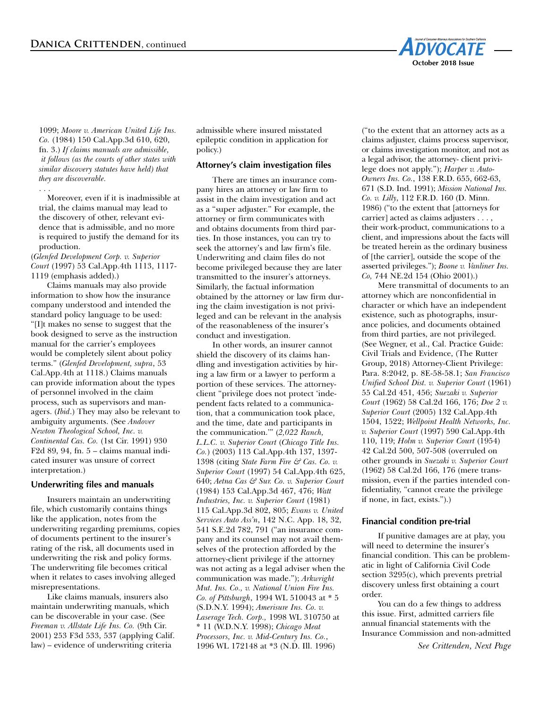

1099; *Moore v. American United Life Ins. Co.* (1984) 150 Cal.App.3d 610, 620, fn. 3.) *If claims manuals are admissible, it follows (as the courts of other states with similar discovery statutes have held) that they are discoverable.*

. . . Moreover, even if it is inadmissible at trial, the claims manual may lead to the discovery of other, relevant evidence that is admissible, and no more is required to justify the demand for its production.

(*Glenfed Development Corp. v. Superior Court* (1997) 53 Cal.App.4th 1113, 1117- 1119 (emphasis added).)

Claims manuals may also provide information to show how the insurance company understood and intended the standard policy language to be used: "[I]t makes no sense to suggest that the book designed to serve as the instruction manual for the carrier's employees would be completely silent about policy terms." (*Glenfed Development, supra*, 53 Cal.App.4th at 1118.) Claims manuals can provide information about the types of personnel involved in the claim process, such as supervisors and managers. (*Ibid*.) They may also be relevant to ambiguity arguments. (See *Andover Newton Theological School, Inc. v. Continental Cas. Co.* (1st Cir. 1991) 930 F2d 89, 94, fn. 5 – claims manual indicated insurer was unsure of correct interpretation.)

#### **Underwriting files and manuals**

Insurers maintain an underwriting file, which customarily contains things like the application, notes from the underwriting regarding premiums, copies of documents pertinent to the insurer's rating of the risk, all documents used in underwriting the risk and policy forms. The underwriting file becomes critical when it relates to cases involving alleged misrepresentations.

Like claims manuals, insurers also maintain underwriting manuals, which can be discoverable in your case. (See *Freeman v. Allstate Life Ins. Co.* (9th Cir. 2001) 253 F3d 533, 537 (applying Calif. law) – evidence of underwriting criteria

admissible where insured misstated epileptic condition in application for policy.)

#### **Attorney's claim investigation files**

There are times an insurance company hires an attorney or law firm to assist in the claim investigation and act as a "super adjuster." For example, the attorney or firm communicates with and obtains documents from third parties. In those instances, you can try to seek the attorney's and law firm's file. Underwriting and claim files do not become privileged because they are later transmitted to the insurer's attorneys. Similarly, the factual information obtained by the attorney or law firm during the claim investigation is not privileged and can be relevant in the analysis of the reasonableness of the insurer's conduct and investigation.

In other words, an insurer cannot shield the discovery of its claims handling and investigation activities by hiring a law firm or a lawyer to perform a portion of these services. The attorneyclient "privilege does not protect 'independent facts related to a communication, that a communication took place, and the time, date and participants in the communication.'" (*2,022 Ranch, L.L.C. v. Superior Court* (*Chicago Title Ins. Co.*) (2003) 113 Cal.App.4th 137, 1397- 1398 (citing *State Farm Fire & Cas. Co. v. Superior Court* (1997) 54 Cal.App.4th 625, 640; *Aetna Cas & Sur. Co. v. Superior Court* (1984) 153 Cal.App.3d 467, 476; *Watt Industries, Inc. v. Superior Court* (1981) 115 Cal.App.3d 802, 805; *Evans v. United Services Auto Ass'n*, 142 N.C. App. 18, 32, 541 S.E.2d 782, 791 ("an insurance company and its counsel may not avail themselves of the protection afforded by the attorney-client privilege if the attorney was not acting as a legal adviser when the communication was made."); *Arkwright Mut. Ins. Co., v. National Union Fire Ins. Co. of Pittsburgh*, 1994 WL 510043 at \* 5 (S.D.N.Y. 1994); *Amerisure Ins. Co. v. Laserage Tech. Corp.,* 1998 WL 310750 at \* 11 (W.D.N.Y. 1998); *Chicago Meat Processors, Inc. v. Mid-Century Ins. Co.*, 1996 WL 172148 at \*3 (N.D. Ill. 1996)

("to the extent that an attorney acts as a claims adjuster, claims process supervisor, or claims investigation monitor, and not as a legal advisor, the attorney- client privilege does not apply."); *Harper v. Auto-Owners Ins. Co.*, 138 F.R.D. 655, 662-63, 671 (S.D. Ind. 1991); *Mission National Ins. Co. v. Lilly*, 112 F.R.D. 160 (D. Minn. 1986) ("to the extent that [attorneys for carrier] acted as claims adjusters . . . , their work-product, communications to a client, and impressions about the facts will be treated herein as the ordinary business of [the carrier], outside the scope of the asserted privileges."); *Boone v. Vanliner Ins. Co,* 744 NE.2d 154 (Ohio 2001).)

Mere transmittal of documents to an attorney which are nonconfidential in character or which have an independent existence, such as photographs, insurance policies, and documents obtained from third parties, are not privileged. (See Wegner, et al., Cal. Practice Guide: Civil Trials and Evidence, (The Rutter Group, 2018) Attorney-Client Privilege: Para. 8:2042, p. 8E-58-58.1; *San Francisco Unified School Dist. v. Superior Court* (1961) 55 Cal.2d 451, 456; *Suezaki v. Superior Court* (1962) 58 Cal.2d 166, 176; *Doe 2 v. Superior Court* (2005) 132 Cal.App.4th 1504, 1522; *Wellpoint Health Networks, Inc. v. Superior Court* (1997) 590 Cal.App.4th 110, 119; *Holm v. Superior Court* (1954) 42 Cal.2d 500, 507-508 (overruled on other grounds in *Suezaki v. Superior Court* (1962) 58 Cal.2d 166, 176 (mere transmission, even if the parties intended confidentiality, "cannot create the privilege if none, in fact, exists.").)

#### **Financial condition pre-trial**

If punitive damages are at play, you will need to determine the insurer's financial condition. This can be problematic in light of California Civil Code section 3295(c), which prevents pretrial discovery unless first obtaining a court order.

You can do a few things to address this issue. First, admitted carriers file annual financial statements with the Insurance Commission and non-admitted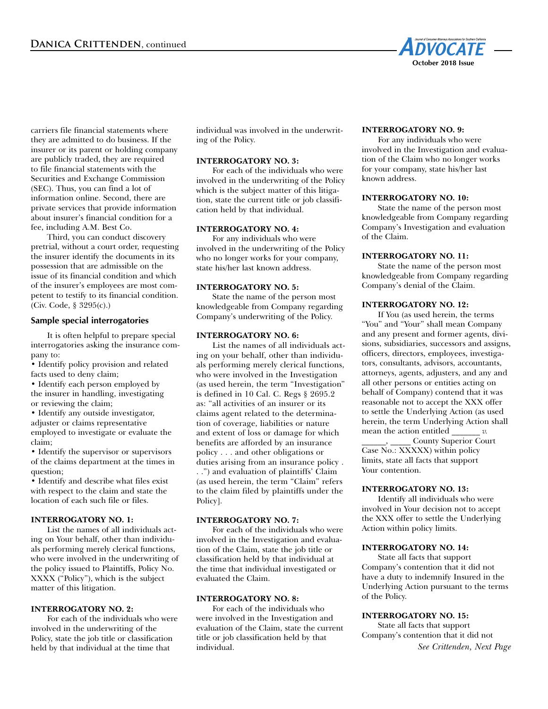

carriers file financial statements where they are admitted to do business. If the insurer or its parent or holding company are publicly traded, they are required to file financial statements with the Securities and Exchange Commission (SEC). Thus, you can find a lot of information online. Second, there are private services that provide information about insurer's financial condition for a fee, including A.M. Best Co.

Third, you can conduct discovery pretrial, without a court order, requesting the insurer identify the documents in its possession that are admissible on the issue of its financial condition and which of the insurer's employees are most competent to testify to its financial condition. (Civ. Code, § 3295(c).)

#### **Sample special interrogatories**

It is often helpful to prepare special interrogatories asking the insurance company to:

• Identify policy provision and related facts used to deny claim;

• Identify each person employed by the insurer in handling, investigating or reviewing the claim;

• Identify any outside investigator, adjuster or claims representative employed to investigate or evaluate the claim;

• Identify the supervisor or supervisors of the claims department at the times in question;

• Identify and describe what files exist with respect to the claim and state the location of each such file or files.

## **INTERROGATORY NO. 1:**

 List the names of all individuals acting on Your behalf, other than individuals performing merely clerical functions, who were involved in the underwriting of the policy issued to Plaintiffs, Policy No. XXXX ("Policy"), which is the subject matter of this litigation.

#### **INTERROGATORY NO. 2:**

 For each of the individuals who were involved in the underwriting of the Policy, state the job title or classification held by that individual at the time that

individual was involved in the underwriting of the Policy.

#### **INTERROGATORY NO. 3:**

 For each of the individuals who were involved in the underwriting of the Policy which is the subject matter of this litigation, state the current title or job classification held by that individual.

#### **INTERROGATORY NO. 4:**

 For any individuals who were involved in the underwriting of the Policy who no longer works for your company, state his/her last known address.

#### **INTERROGATORY NO. 5:**

 State the name of the person most knowledgeable from Company regarding Company's underwriting of the Policy.

#### **INTERROGATORY NO. 6:**

 List the names of all individuals acting on your behalf, other than individuals performing merely clerical functions, who were involved in the Investigation (as used herein, the term "Investigation" is defined in 10 Cal. C. Regs § 2695.2 as: "all activities of an insurer or its claims agent related to the determination of coverage, liabilities or nature and extent of loss or damage for which benefits are afforded by an insurance policy . . . and other obligations or duties arising from an insurance policy .

. .") and evaluation of plaintiffs' Claim (as used herein, the term "Claim" refers to the claim filed by plaintiffs under the Policy].

#### **INTERROGATORY NO. 7:**

 For each of the individuals who were involved in the Investigation and evaluation of the Claim, state the job title or classification held by that individual at the time that individual investigated or evaluated the Claim.

#### **INTERROGATORY NO. 8:**

 For each of the individuals who were involved in the Investigation and evaluation of the Claim, state the current title or job classification held by that individual.

#### **INTERROGATORY NO. 9:**

 For any individuals who were involved in the Investigation and evaluation of the Claim who no longer works for your company, state his/her last known address.

## **INTERROGATORY NO. 10:**

State the name of the person most knowledgeable from Company regarding Company's Investigation and evaluation of the Claim.

## **INTERROGATORY NO. 11:**

 State the name of the person most knowledgeable from Company regarding Company's denial of the Claim.

#### **INTERROGATORY NO. 12:**

 If You (as used herein, the terms "You" and "Your" shall mean Company and any present and former agents, divisions, subsidiaries, successors and assigns, officers, directors, employees, investigators, consultants, advisors, accountants, attorneys, agents, adjusters, and any and all other persons or entities acting on behalf of Company) contend that it was reasonable not to accept the XXX offer to settle the Underlying Action (as used herein, the term Underlying Action shall mean the action entitled *\_\_\_\_\_\_\_ v. \_\_\_\_\_\_*, \_\_\_\_\_ County Superior Court Case No.: XXXXX) within policy limits, state all facts that support Your contention.

#### **INTERROGATORY NO. 13:**

 Identify all individuals who were involved in Your decision not to accept the XXX offer to settle the Underlying Action within policy limits.

#### **INTERROGATORY NO. 14:**

State all facts that support Company's contention that it did not have a duty to indemnify Insured in the Underlying Action pursuant to the terms of the Policy.

#### **INTERROGATORY NO. 15:**

 State all facts that support Company's contention that it did not *See Crittenden, Next Page*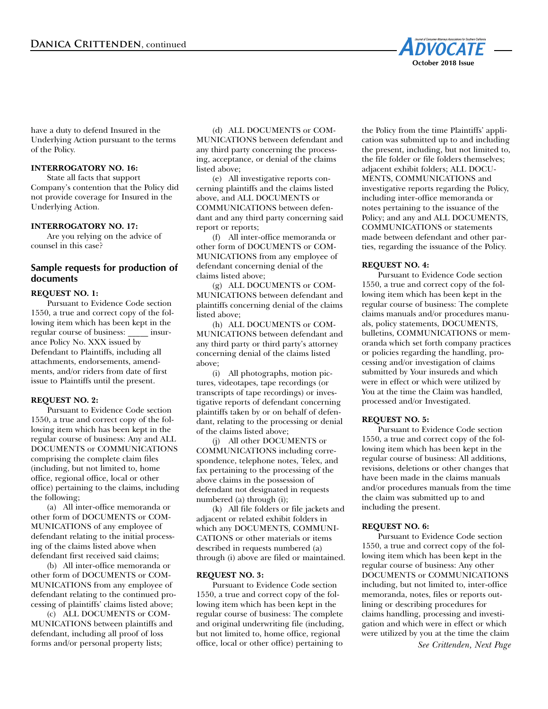

have a duty to defend Insured in the Underlying Action pursuant to the terms of the Policy.

## **INTERROGATORY NO. 16:**

 State all facts that support Company's contention that the Policy did not provide coverage for Insured in the Underlying Action.

#### **INTERROGATORY NO. 17:**

 Are you relying on the advice of counsel in this case?

# **Sample requests for production of documents**

#### **REQUEST NO. 1:**

Pursuant to Evidence Code section 1550, a true and correct copy of the following item which has been kept in the regular course of business: \_\_\_\_\_ insurance Policy No. XXX issued by Defendant to Plaintiffs, including all attachments, endorsements, amendments, and/or riders from date of first issue to Plaintiffs until the present.

#### **REQUEST NO. 2:**

Pursuant to Evidence Code section 1550, a true and correct copy of the following item which has been kept in the regular course of business: Any and ALL DOCUMENTS or COMMUNICATIONS comprising the complete claim files (including, but not limited to, home office, regional office, local or other office) pertaining to the claims, including the following;

 (a) All inter-office memoranda or other form of DOCUMENTS or COM-MUNICATIONS of any employee of defendant relating to the initial processing of the claims listed above when defendant first received said claims;

 (b) All inter-office memoranda or other form of DOCUMENTS or COM-MUNICATIONS from any employee of defendant relating to the continued processing of plaintiffs' claims listed above;

 (c) ALL DOCUMENTS or COM-MUNICATIONS between plaintiffs and defendant, including all proof of loss forms and/or personal property lists;

 (d) ALL DOCUMENTS or COM-MUNICATIONS between defendant and any third party concerning the processing, acceptance, or denial of the claims listed above;

 (e) All investigative reports concerning plaintiffs and the claims listed above, and ALL DOCUMENTS or COMMUNICATIONS between defendant and any third party concerning said report or reports;

 (f) All inter-office memoranda or other form of DOCUMENTS or COM-MUNICATIONS from any employee of defendant concerning denial of the claims listed above;

 (g) ALL DOCUMENTS or COM-MUNICATIONS between defendant and plaintiffs concerning denial of the claims listed above;

 (h) ALL DOCUMENTS or COM-MUNICATIONS between defendant and any third party or third party's attorney concerning denial of the claims listed above;

 (i) All photographs, motion pictures, videotapes, tape recordings (or transcripts of tape recordings) or investigative reports of defendant concerning plaintiffs taken by or on behalf of defendant, relating to the processing or denial of the claims listed above;

 (j) All other DOCUMENTS or COMMUNICATIONS including correspondence, telephone notes, Telex, and fax pertaining to the processing of the above claims in the possession of defendant not designated in requests numbered (a) through (i);

 (k) All file folders or file jackets and adjacent or related exhibit folders in which any DOCUMENTS, COMMUNI-CATIONS or other materials or items described in requests numbered (a) through (i) above are filed or maintained.

## **REQUEST NO. 3:**

Pursuant to Evidence Code section 1550, a true and correct copy of the following item which has been kept in the regular course of business: The complete and original underwriting file (including, but not limited to, home office, regional office, local or other office) pertaining to

the Policy from the time Plaintiffs' application was submitted up to and including the present, including, but not limited to, the file folder or file folders themselves; adjacent exhibit folders; ALL DOCU-MENTS, COMMUNICATIONS and investigative reports regarding the Policy, including inter-office memoranda or notes pertaining to the issuance of the Policy; and any and ALL DOCUMENTS, COMMUNICATIONS or statements made between defendant and other parties, regarding the issuance of the Policy.

## **REQUEST NO. 4:**

Pursuant to Evidence Code section 1550, a true and correct copy of the following item which has been kept in the regular course of business: The complete claims manuals and/or procedures manuals, policy statements, DOCUMENTS, bulletins, COMMUNICATIONS or memoranda which set forth company practices or policies regarding the handling, processing and/or investigation of claims submitted by Your insureds and which were in effect or which were utilized by You at the time the Claim was handled, processed and/or Investigated.

#### **REQUEST NO. 5:**

Pursuant to Evidence Code section 1550, a true and correct copy of the following item which has been kept in the regular course of business: All additions, revisions, deletions or other changes that have been made in the claims manuals and/or procedures manuals from the time the claim was submitted up to and including the present.

#### **REQUEST NO. 6:**

Pursuant to Evidence Code section 1550, a true and correct copy of the following item which has been kept in the regular course of business: Any other DOCUMENTS or COMMUNICATIONS including, but not limited to, inter-office memoranda, notes, files or reports outlining or describing procedures for claims handling, processing and investigation and which were in effect or which were utilized by you at the time the claim